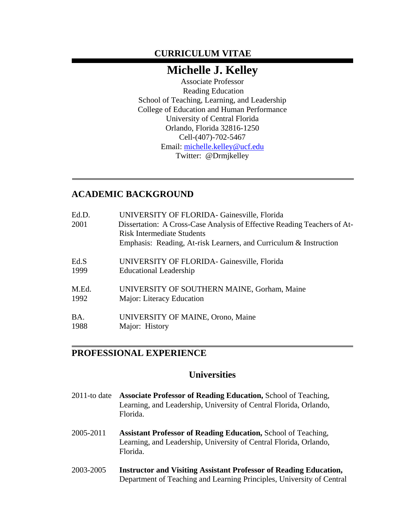# **CURRICULUM VITAE**

# **Michelle J. Kelley**

Associate Professor Reading Education School of Teaching, Learning, and Leadership College of Education and Human Performance University of Central Florida Orlando, Florida 32816-1250 Cell-(407)-702-5467 Email: [michelle.kelley@ucf.edu](mailto:michelle.kelley@ucf.edu) Twitter: @Drmjkelley

# **ACADEMIC BACKGROUND**

| Ed.D.<br>2001 | UNIVERSITY OF FLORIDA- Gainesville, Florida<br>Dissertation: A Cross-Case Analysis of Effective Reading Teachers of At-<br><b>Risk Intermediate Students</b><br>Emphasis: Reading, At-risk Learners, and Curriculum & Instruction |
|---------------|-----------------------------------------------------------------------------------------------------------------------------------------------------------------------------------------------------------------------------------|
| Ed.S          | UNIVERSITY OF FLORIDA- Gainesville, Florida                                                                                                                                                                                       |
| 1999          | <b>Educational Leadership</b>                                                                                                                                                                                                     |
| M.Ed.         | UNIVERSITY OF SOUTHERN MAINE, Gorham, Maine                                                                                                                                                                                       |
| 1992          | Major: Literacy Education                                                                                                                                                                                                         |
| BA.           | UNIVERSITY OF MAINE, Orono, Maine                                                                                                                                                                                                 |
| 1988          | Major: History                                                                                                                                                                                                                    |

## **PROFESSIONAL EXPERIENCE**

## **Universities**

- 2011-to date **Associate Professor of Reading Education,** School of Teaching, Learning, and Leadership, University of Central Florida, Orlando, Florida.
- 2005-2011 **Assistant Professor of Reading Education,** School of Teaching, Learning, and Leadership, University of Central Florida, Orlando, Florida.
- 2003-2005 **Instructor and Visiting Assistant Professor of Reading Education,**  Department of Teaching and Learning Principles, University of Central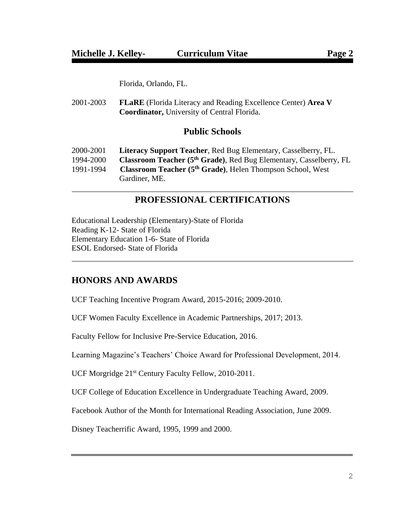Florida, Orlando, FL.

2001-2003 **FLaRE** (Florida Literacy and Reading Excellence Center) **Area V Coordinator,** University of Central Florida.

## **Public Schools**

| 2000-2001 | Literacy Support Teacher, Red Bug Elementary, Casselberry, FL.                 |
|-----------|--------------------------------------------------------------------------------|
| 1994-2000 | Classroom Teacher (5 <sup>th</sup> Grade), Red Bug Elementary, Casselberry, FL |
| 1991-1994 | Classroom Teacher (5 <sup>th</sup> Grade), Helen Thompson School, West         |
|           | Gardiner, ME.                                                                  |

# **PROFESSIONAL CERTIFICATIONS**

Educational Leadership (Elementary)-State of Florida Reading K-12- State of Florida Elementary Education 1-6- State of Florida ESOL Endorsed- State of Florida

## **HONORS AND AWARDS**

UCF Teaching Incentive Program Award, 2015-2016; 2009-2010.

UCF Women Faculty Excellence in Academic Partnerships, 2017; 2013.

Faculty Fellow for Inclusive Pre-Service Education, 2016.

Learning Magazine's Teachers' Choice Award for Professional Development, 2014.

UCF Morgridge 21st Century Faculty Fellow, 2010-2011.

UCF College of Education Excellence in Undergraduate Teaching Award, 2009.

Facebook Author of the Month for International Reading Association, June 2009.

Disney Teacherrific Award, 1995, 1999 and 2000.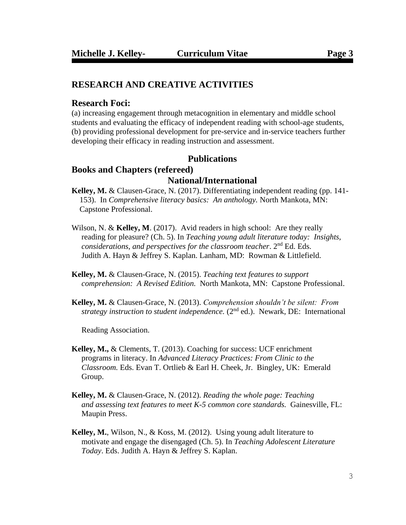## **RESEARCH AND CREATIVE ACTIVITIES**

#### **Research Foci:**

(a) increasing engagement through metacognition in elementary and middle school students and evaluating the efficacy of independent reading with school-age students, (b) providing professional development for pre-service and in-service teachers further developing their efficacy in reading instruction and assessment.

### **Publications**

# **Books and Chapters (refereed) National/International**

- **Kelley, M.** & Clausen-Grace, N. (2017). Differentiating independent reading (pp. 141- 153). In *Comprehensive literacy basics: An anthology.* North Mankota, MN: Capstone Professional.
- Wilson, N. & **Kelley, M.** (2017). Avid readers in high school: Are they really reading for pleasure? (Ch. 5). In *Teaching young adult literature today: Insights, considerations, and perspectives for the classroom teacher*. 2nd Ed. Eds. Judith A. Hayn & Jeffrey S. Kaplan. Lanham, MD: Rowman & Littlefield.
- **Kelley, M.** & Clausen-Grace, N. (2015). *Teaching text features to support comprehension: A Revised Edition.* North Mankota, MN: Capstone Professional.
- **Kelley, M.** & Clausen-Grace, N. (2013). *Comprehension shouldn't be silent: From strategy instruction to student independence.* (2<sup>nd</sup> ed.). Newark, DE: International

Reading Association.

- **Kelley, M.,** & Clements, T. (2013). Coaching for success: UCF enrichment programs in literacy. In *Advanced Literacy Practices: From Clinic to the Classroom.* Eds. Evan T. Ortlieb & Earl H. Cheek, Jr. Bingley, UK: Emerald Group.
- **Kelley, M.** & Clausen-Grace, N. (2012). *Reading the whole page: Teaching and assessing text features to meet K-5 common core standards.* Gainesville, FL:Maupin Press.
- **Kelley, M.**, Wilson, N., & Koss, M. (2012). Using young adult literature to motivate and engage the disengaged (Ch. 5). In *Teaching Adolescent Literature Today*. Eds. Judith A. Hayn & Jeffrey S. Kaplan.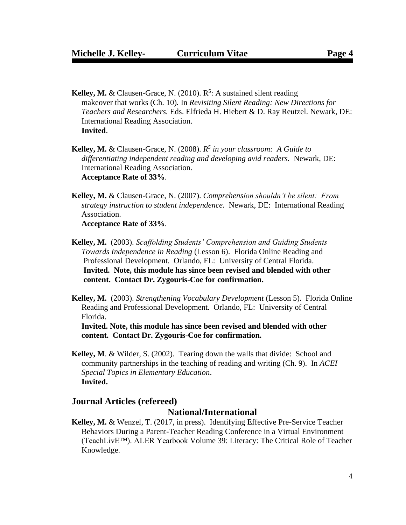- **Kelley, M. & Clausen-Grace, N. (2010). R<sup>5</sup>: A sustained silent reading**  makeover that works (Ch. 10)*.* In *Revisiting Silent Reading: New Directions for Teachers and Researchers.* Eds. Elfrieda H. Hiebert & D. Ray Reutzel. Newark, DE: **International Reading Association. Invited**.
- **Kelley, M.** & Clausen-Grace, N. (2008). *R 5 in your classroom: A Guide to differentiating independent reading and developing avid readers.* Newark, DE: International Reading Association. **Acceptance Rate of 33%**.
- **Kelley, M.** & Clausen-Grace, N. (2007). *Comprehension shouldn't be silent: From strategy instruction to student independence.* Newark, DE: International Reading Association.

**Acceptance Rate of 33%**.

- **Kelley, M.** (2003). *Scaffolding Students' Comprehension and Guiding Students Towards Independence in Reading* (Lesson 6). Florida Online Reading and Professional Development. Orlando, FL: University of Central Florida. **Invited. Note, this module has since been revised and blended with other content. Contact Dr. Zygouris-Coe for confirmation.**
- **Kelley, M.** (2003). *Strengthening Vocabulary Development* (Lesson 5). Florida Online Reading and Professional Development. Orlando, FL: University of Central Florida.

 **Invited. Note, this module has since been revised and blended with other content. Contact Dr. Zygouris-Coe for confirmation.**

**Kelley, M**. & Wilder, S. (2002).Tearing down the walls that divide: School and community partnerships in the teaching of reading and writing (Ch. 9). In *ACEI Special Topics in Elementary Education*. **Invited.**

#### **Journal Articles (refereed)**

#### **National/International**

**Kelley, M.** & Wenzel, T. (2017, in press). Identifying Effective Pre-Service Teacher Behaviors During a Parent-Teacher Reading Conference in a Virtual Environment (TeachLivE™). ALER Yearbook Volume 39: Literacy: The Critical Role of Teacher Knowledge.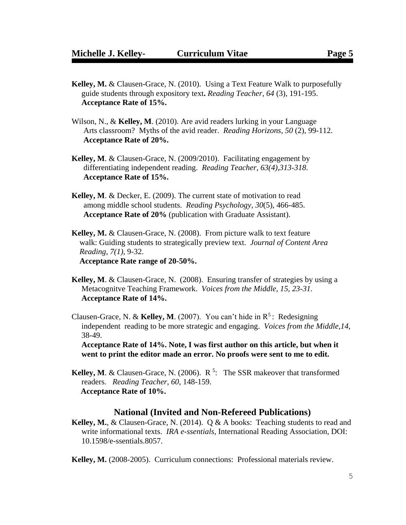- **Kelley, M.** & Clausen-Grace, N. (2010). Using a Text Feature Walk to purposefully guide students through expository text**.** *Reading Teacher*, *64* (3), 191-195.  **Acceptance Rate of 15%.**
- Wilson, N., & **Kelley, M**. (2010). Are avid readers lurking in your Language Arts classroom? Myths of the avid reader. *Reading Horizons, 50* (2), 99-112.  **Acceptance Rate of 20%.**
- **Kelley, M**. & Clausen-Grace, N. (2009/2010). Facilitating engagement by differentiating independent reading. *Reading Teacher, 63(4),313-318*.  **Acceptance Rate of 15%.**
- **Kelley, M**. & Decker, E. (2009). The current state of motivation to read among middle school students. *Reading Psychology, 30*(5), 466-485. **Acceptance Rate of 20%** (publication with Graduate Assistant).
- **Kelley, M.** & Clausen-Grace, N. (2008). From picture walk to text feature walk: Guiding students to strategically preview text. *Journal of Content Area Reading, 7(1),* 9-32. **Acceptance Rate range of 20-50%.**
- **Kelley, M**. & Clausen-Grace, N. (2008). Ensuring transfer of strategies by using a Metacognitve Teaching Framework. *Voices from the Middle, 15, 23-31.* **Acceptance Rate of 14%.**
- Clausen-Grace, N. & **Kelley, M.** (2007). You can't hide in  $R^5$ : Redesigning independent reading to be more strategic and engaging. *Voices from the Middle,14*, 38-49.

 **Acceptance Rate of 14%. Note, I was first author on this article, but when it went to print the editor made an error. No proofs were sent to me to edit.**

**Kelley, M.** & Clausen-Grace, N. (2006).  $R^5$ : The SSR makeover that transformed readers. *Reading Teacher, 60*, 148-159.  **Acceptance Rate of 10%.**

#### **National (Invited and Non-Refereed Publications)**

**Kelley, M.**, & Clausen-Grace, N. (2014). Q & A books: Teaching students to read and write informational texts. *IRA e-ssentials*, International Reading Association, DOI: 10.1598/e-ssentials.8057.

**Kelley, M.** (2008-2005). Curriculum connections: Professional materials review.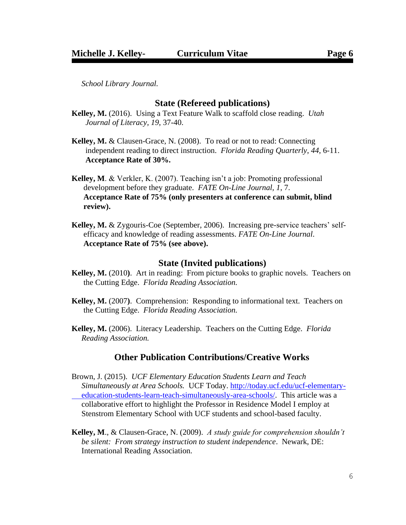*School Library Journal.*

## **State (Refereed publications)**

- **Kelley, M.** (2016). Using a Text Feature Walk to scaffold close reading. *Utah Journal of Literacy, 19*, 37-40.
- **Kelley, M.** & Clausen-Grace, N. (2008). To read or not to read: Connecting independent reading to direct instruction. *Florida Reading Quarterly*, *44*, 6-11. **Acceptance Rate of 30%.**
- **Kelley, M**. & Verkler, K. (2007). Teaching isn't a job: Promoting professional development before they graduate. *FATE On-Line Journal, 1*, 7. **Acceptance Rate of 75% (only presenters at conference can submit, blind review).**
- **Kelley, M.** & Zygouris-Coe (September, 2006). Increasing pre-service teachers' self efficacy and knowledge of reading assessments. *FATE On-Line Journal*. **Acceptance Rate of 75% (see above).**

#### **State (Invited publications)**

- **Kelley, M.** (2010**)**. Art in reading: From picture books to graphic novels. Teachers on the Cutting Edge. *Florida Reading Association.*
- **Kelley, M.** (2007**)**. Comprehension: Responding to informational text. Teachers on the Cutting Edge. *Florida Reading Association.*
- **Kelley, M.** (2006). Literacy Leadership. Teachers on the Cutting Edge. *Florida Reading Association.*

## **Other Publication Contributions/Creative Works**

- Brown, J. (2015). *UCF Elementary Education Students Learn and Teach Simultaneously at Area Schools.* UCF Today. [http://today.ucf.edu/ucf-elementary](http://today.ucf.edu/ucf-elementary-%0b%20%20%20%20%20education-students-learn-teach-simultaneously-area-schools/)  [education-students-learn-teach-simultaneously-area-schools/.](http://today.ucf.edu/ucf-elementary-%0b%20%20%20%20%20education-students-learn-teach-simultaneously-area-schools/) This article was a collaborative effort to highlight the Professor in Residence Model I employ at Stenstrom Elementary School with UCF students and school-based faculty.
- **Kelley, M**., & Clausen-Grace, N. (2009). *A study guide for comprehension shouldn't be silent: From strategy instruction to student independence*. Newark, DE: International Reading Association.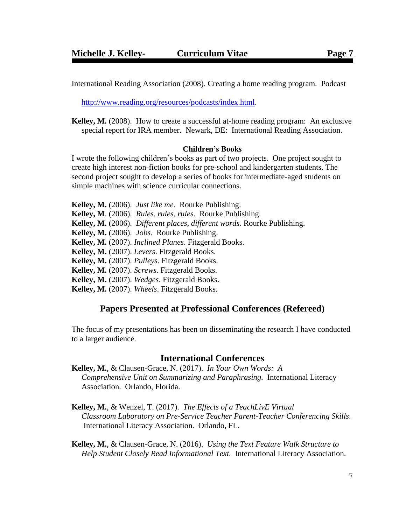International Reading Association (2008). Creating a home reading program. Podcast

[http://www.reading.org/resources/podcasts/index.html.](http://www.reading.org/resources/podcasts/index.html)

**Kelley, M.** (2008). How to create a successful at-home reading program: An exclusive special report for IRA member. Newark, DE:International Reading Association.

#### **Children's Books**

I wrote the following children's books as part of two projects. One project sought to create high interest non-fiction books for pre-school and kindergarten students. The second project sought to develop a series of books for intermediate-aged students on simple machines with science curricular connections.

**Kelley, M.** (2006). *Just like me*. Rourke Publishing. **Kelley, M**. (2006). *Rules, rules, rules*. Rourke Publishing. **Kelley, M.** (2006). *Different places, different words.* Rourke Publishing. **Kelley, M.** (2006). *Jobs.* Rourke Publishing. **Kelley, M.** (2007). *Inclined Planes*. Fitzgerald Books. **Kelley, M.** (2007). *Levers*. Fitzgerald Books. **Kelley, M.** (2007). *Pulleys*. Fitzgerald Books. **Kelley, M.** (2007). *Screws.* Fitzgerald Books. **Kelley, M.** (2007). *Wedges*. Fitzgerald Books.

**Kelley, M.** (2007). *Wheels*. Fitzgerald Books.

#### **Papers Presented at Professional Conferences (Refereed)**

The focus of my presentations has been on disseminating the research I have conducted to a larger audience.

## **International Conferences**

- **Kelley, M.**, & Clausen-Grace, N. (2017). *In Your Own Words: A Comprehensive Unit on Summarizing and Paraphrasing.* International Literacy Association. Orlando, Florida.
- **Kelley, M.**, & Wenzel, T. (2017). *The Effects of a TeachLivE Virtual Classroom Laboratory on Pre-Service Teacher Parent-Teacher Conferencing Skills*. International Literacy Association. Orlando, FL.

**Kelley, M.**, & Clausen-Grace, N. (2016). *Using the Text Feature Walk Structure to Help Student Closely Read Informational Text.* International Literacy Association.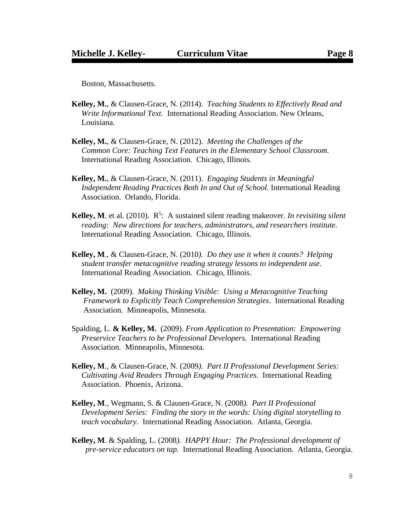Boston, Massachusetts.

- **Kelley, M.**, & Clausen-Grace, N. (2014). *Teaching Students to Effectively Read and Write Informational Text.* International Reading Association. New Orleans, Louisiana.
- **Kelley, M.**, & Clausen-Grace, N. (2012). *Meeting the Challenges of the Common Core: Teaching Text Features in the Elementary School Classroom.* International Reading Association. Chicago, Illinois.
- **Kelley, M.**, & Clausen-Grace, N. (2011). *Engaging Students in Meaningful Independent Reading Practices Both In and Out of School.* International Reading Association. Orlando, Florida.
- Kelley, M. et al. (2010). R<sup>5</sup>: A sustained silent reading makeover. *In revisiting silent reading: New directions for teachers, administrators, and researchers institute.*  International Reading Association. Chicago, Illinois.
- **Kelley, M**., & Clausen-Grace, N. (2010*). Do they use it when it counts? Helping student transfer metacognitive reading strategy lessons to independent use.*  International Reading Association. Chicago, Illinois.
- **Kelley, M.** (2009). *Making Thinking Visible: Using a Metacognitive Teaching Framework to Explicitly Teach Comprehension Strategies*. International Reading Association. Minneapolis, Minnesota.
- Spalding, L. **& Kelley, M.** (2009). *From Application to Presentation: Empowering Preservice Teachers to be Professional Developers.* International Reading Association. Minneapolis, Minnesota.
- **Kelley, M**., & Clausen-Grace, N. (2009*). Part II Professional Development Series: Cultivating Avid Readers Through Engaging Practices.* International Reading Association. Phoenix, Arizona.
- **Kelley, M**., Wegmann, S. & Clausen-Grace, N. (2008*). Part II Professional Development Series: Finding the story in the words: Using digital storytelling to teach vocabulary.* International Reading Association. Atlanta, Georgia.
- **Kelley, M**. & Spalding, L. (2008*). HAPPY Hour: The Professional development of pre-service educators on tap.* International Reading Association. Atlanta, Georgia.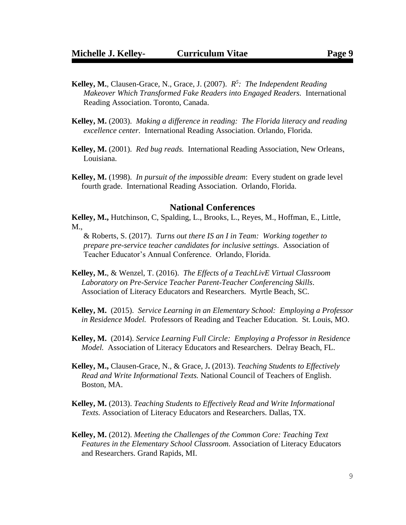- **Kelley, M.**, Clausen-Grace, N., Grace, J. (2007). *R 5 : The Independent Reading* *Makeover Which Transformed Fake Readers into Engaged Readers.* International Reading Association. Toronto, Canada.
- **Kelley, M.** (2003). *Making a difference in reading: The Florida literacy and reading* *excellence center.* International Reading Association. Orlando, Florida.
- **Kelley, M.** (2001). *Red bug reads.* International Reading Association, New Orleans, Louisiana.
- **Kelley, M.** (1998). *In pursuit of the impossible dream*: Every student on grade level fourth grade. International Reading Association. Orlando, Florida.

#### **National Conferences**

**Kelley, M.,** Hutchinson, C, Spalding, L., Brooks, L., Reyes, M., Hoffman, E., Little, M.,

& Roberts, S. (2017). *Turns out there IS an I in Team: Working together to prepare pre-service teacher candidates for inclusive settings*. Association of Teacher Educator's Annual Conference. Orlando, Florida.

- **Kelley, M.**, & Wenzel, T. (2016). *The Effects of a TeachLivE Virtual Classroom Laboratory on Pre-Service Teacher Parent-Teacher Conferencing Skills*. Association of Literacy Educators and Researchers. Myrtle Beach, SC.
- **Kelley, M.** (2015). *Service Learning in an Elementary School: Employing a Professor in Residence Model.* Professors of Reading and Teacher Education. St. Louis, MO.
- **Kelley, M.** (2014). *Service Learning Full Circle: Employing a Professor in Residence Model.* Association of Literacy Educators and Researchers. Delray Beach, FL.
- **Kelley, M.,** Clausen-Grace, N., & Grace, J**.** (2013). *Teaching Students to Effectively Read and Write Informational Texts.* National Council of Teachers of English. Boston, MA.
- **Kelley, M.** (2013). *Teaching Students to Effectively Read and Write Informational Texts.* Association of Literacy Educators and Researchers. Dallas, TX.
- **Kelley, M.** (2012). *Meeting the Challenges of the Common Core: Teaching Text Features in the Elementary School Classroom.* Association of Literacy Educators and Researchers. Grand Rapids, MI.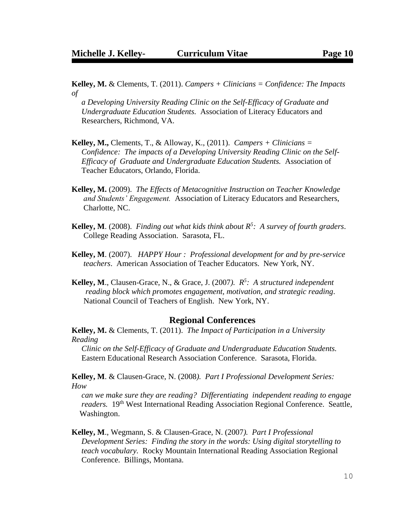**Kelley, M.** & Clements, T. (2011). *Campers + Clinicians = Confidence: The Impacts of* 

 *a Developing University Reading Clinic on the Self-Efficacy of Graduate and Undergraduate Education Students.* Association of Literacy Educators and Researchers, Richmond, VA.

- **Kelley, M.,** Clements, T., & Alloway, K., (2011). *Campers + Clinicians = Confidence: The impacts of a Developing University Reading Clinic on the Self- Efficacy of Graduate and Undergraduate Education Students.* Association of Teacher Educators, Orlando, Florida.
- **Kelley, M.** (2009). *The Effects of Metacognitive Instruction on Teacher Knowledge and Students' Engagement.* Association of Literacy Educators and Researchers, Charlotte, NC.
- **Kelley, M**. (2008). *Finding out what kids think about R<sup>5</sup> : A survey of fourth graders*. College Reading Association. Sarasota, FL.
- **Kelley, M**. (2007). *HAPPY Hour : Professional development for and by pre-service teachers*. American Association of Teacher Educators. New York, NY.
- **Kelley, M**., Clausen-Grace, N., & Grace, J. (2007*). R<sup>5</sup> : A structured independent reading block which promotes engagement, motivation, and strategic reading*. National Council of Teachers of English. New York, NY.

#### **Regional Conferences**

**Kelley, M.** & Clements, T. (2011). *The Impact of Participation in a University Reading* 

 *Clinic on the Self-Efficacy of Graduate and Undergraduate Education Students.* Eastern Educational Research Association Conference. Sarasota, Florida.

**Kelley, M**. & Clausen-Grace, N. (2008*). Part I Professional Development Series: How* 

 *can we make sure they are reading? Differentiating independent reading to engage readers.* 19<sup>th</sup> West International Reading Association Regional Conference. Seattle, Washington.

**Kelley, M**., Wegmann, S. & Clausen-Grace, N. (2007*). Part I Professional Development Series: Finding the story in the words: Using digital storytelling to teach vocabulary.* Rocky Mountain International Reading Association Regional Conference. Billings, Montana.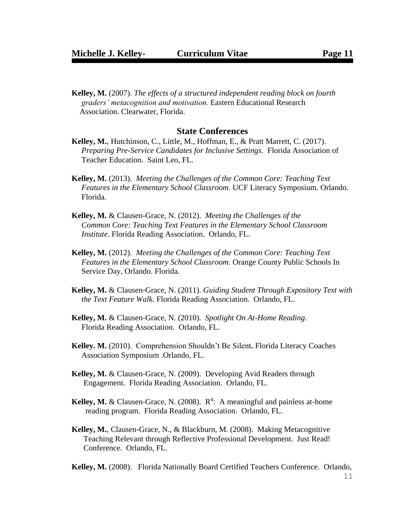**Kelley, M.** (2007). *The effects of a structured independent reading block on fourth graders' metacognition and motivation.* Eastern Educational Research Association. Clearwater, Florida.

#### **State Conferences**

- **Kelley, M.**, Hutchinson, C., Little, M., Hoffman, E., & Pratt Marrett, C. (2017). *Preparing Pre-Service Candidates for Inclusive Settings*. Florida Association of Teacher Education. Saint Leo, FL.
- **Kelley, M.** (2013). *Meeting the Challenges of the Common Core: Teaching Text Features in the Elementary School Classroom.* UCF Literacy Symposium. Orlando. Florida*.*
- **Kelley, M.** & Clausen-Grace, N. (2012). *Meeting the Challenges of the Common Core: Teaching Text Features in the Elementary School Classroom Institute.* Florida Reading Association. Orlando, FL.
- **Kelley, M.** (2012). *Meeting the Challenges of the Common Core: Teaching Text Features in the Elementary School Classroom.* Orange County Public Schools In Service Day, Orlando. Florida*.*
- **Kelley, M.** & Clausen-Grace, N. (2011). *Guiding Student Through Expository Text with the Text Feature Walk.* Florida Reading Association. Orlando, FL.
- **Kelley, M.** & Clausen-Grace, N. (2010). *Spotlight On At-Home Reading.* Florida Reading Association. Orlando, FL.
- **Kelley. M.** (2010).Comprehension Shouldn't Be Silent**.** Florida Literacy Coaches Association Symposium .Orlando, FL.
- **Kelley, M.** & Clausen-Grace, N. (2009). Developing Avid Readers through Engagement. Florida Reading Association. Orlando, FL.
- **Kelley, M.** & Clausen-Grace, N. (2008).  $R^4$ : A meaningful and painless at-home reading program. Florida Reading Association. Orlando, FL.
- **Kelley, M.**, Clausen-Grace, N., & Blackburn, M. (2008). Making Metacognitive Teaching Relevant through Reflective Professional Development. Just Read! Conference. Orlando, FL.

**Kelley, M.** (2008). Florida Nationally Board Certified Teachers Conference. Orlando,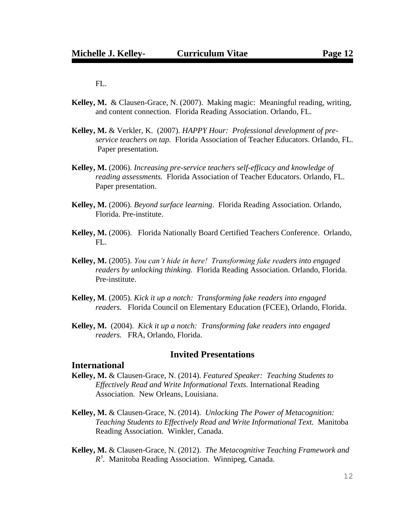FL.

- **Kelley, M.** & Clausen-Grace, N. (2007). Making magic: Meaningful reading, writing, and content connection. Florida Reading Association. Orlando, FL.
- **Kelley, M.** & Verkler, K. (2007). *HAPPY Hour: Professional development of preservice teachers on tap.* Florida Association of Teacher Educators. Orlando, FL. Paper presentation.
- **Kelley, M.** (2006). *Increasing pre-service teachers self-efficacy and knowledge of reading assessments.* Florida Association of Teacher Educators. Orlando, FL. Paper presentation.
- **Kelley, M.** (2006). *Beyond surface learning*. Florida Reading Association. Orlando, Florida. Pre-institute.
- **Kelley, M.** (2006). Florida Nationally Board Certified Teachers Conference. Orlando, FL.
- **Kelley, M.** (2005). *You can't hide in here! Transforming fake readers into engaged readers by unlocking thinking.* Florida Reading Association. Orlando, Florida. Pre-institute.
- **Kelley, M**. (2005). *Kick it up a notch: Transforming fake readers into engaged readers.* Florida Council on Elementary Education (FCEE), Orlando, Florida.
- **Kelley, M.** (2004). *Kick it up a notch: Transforming fake readers into engaged readers.* FRA, Orlando, Florida.

### **Invited Presentations**

#### **International**

- **Kelley, M.** & Clausen-Grace, N. (2014). *Featured Speaker: Teaching Students to Effectively Read and Write Informational Texts.* International Reading Association. New Orleans, Louisiana.
- **Kelley, M.** & Clausen-Grace, N. (2014). *Unlocking The Power of Metacognition: Teaching Students to Effectively Read and Write Informational Text.* Manitoba Reading Association. Winkler, Canada.
- **Kelley, M.** & Clausen-Grace, N. (2012). *The Metacognitive Teaching Framework and R 5 .* Manitoba Reading Association. Winnipeg, Canada.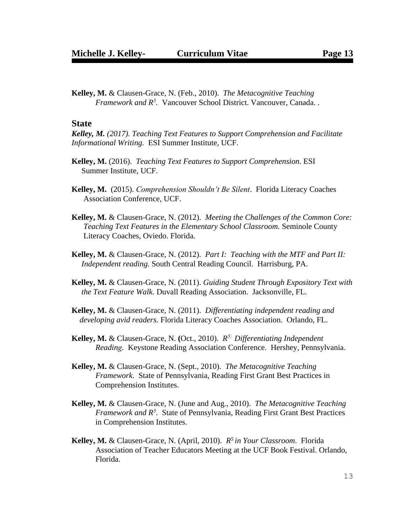**Kelley, M.** & Clausen-Grace, N. (Feb., 2010). *The Metacognitive Teaching Framework and R<sup>5</sup> .* Vancouver School District. Vancouver, Canada. .

#### **State**

*Kelley, M. (2017). Teaching Text Features to Support Comprehension and Facilitate Informational Writing.* ESI Summer Institute, UCF.

- **Kelley, M.** (2016). *Teaching Text Features to Support Comprehension.* ESI Summer Institute, UCF.
- **Kelley, M.** (2015). *Comprehension Shouldn't Be Silent*. Florida Literacy Coaches Association Conference, UCF.
- **Kelley, M.** & Clausen-Grace, N. (2012). *Meeting the Challenges of the Common Core: Teaching Text Features in the Elementary School Classroom.* Seminole County Literacy Coaches, Oviedo. Florida*.*
- **Kelley, M.** & Clausen-Grace, N. (2012). *Part I: Teaching with the MTF and Part II: Independent reading.* South Central Reading Council. Harrisburg, PA.
- **Kelley, M.** & Clausen-Grace, N. (2011). *Guiding Student Through Expository Text with the Text Feature Walk.* Duvall Reading Association. Jacksonville, FL.
- **Kelley, M.** & Clausen-Grace, N. (2011). *Differentiating independent reading and developing avid readers.* Florida Literacy Coaches Association. Orlando, FL.
- **Kelley, M.** & Clausen-Grace, N. **(**Oct., 2010). *R 5: Differentiating Independent Reading.* Keystone Reading Association Conference. Hershey, Pennsylvania.
- **Kelley, M.** & Clausen-Grace, N. (Sept., 2010). *The Metacognitive Teaching Framework.* State of Pennsylvania, Reading First Grant Best Practices in Comprehension Institutes.
- **Kelley, M.** & Clausen-Grace, N. (June and Aug., 2010). *The Metacognitive Teaching Framework and R<sup>5</sup> .* State of Pennsylvania, Reading First Grant Best Practices in Comprehension Institutes.
- **Kelley, M.** & Clausen-Grace, N. (April, 2010). *R <sup>5</sup>in Your Classroom*. Florida Association of Teacher Educators Meeting at the UCF Book Festival. Orlando, Florida.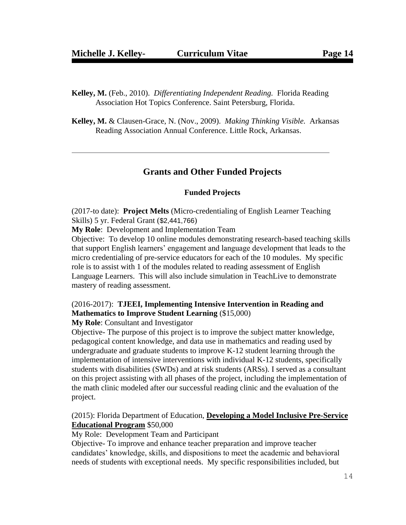- **Kelley, M.** (Feb., 2010). *Differentiating Independent Reading.* Florida Reading Association Hot Topics Conference. Saint Petersburg, Florida.
- **Kelley, M.** & Clausen-Grace, N. (Nov., 2009). *Making Thinking Visible.* Arkansas Reading Association Annual Conference. Little Rock, Arkansas.

### **Grants and Other Funded Projects**

#### **Funded Projects**

(2017-to date): **Project Melts** (Micro-credentialing of English Learner Teaching Skills) 5 yr. Federal Grant (\$2,441,766)

**My Role**: Development and Implementation Team

Objective: To develop 10 online modules demonstrating research-based teaching skills that support English learners' engagement and language development that leads to the micro credentialing of pre-service educators for each of the 10 modules. My specific role is to assist with 1 of the modules related to reading assessment of English Language Learners. This will also include simulation in TeachLive to demonstrate mastery of reading assessment.

### (2016-2017): **TJEEI, Implementing Intensive Intervention in Reading and Mathematics to Improve Student Learning** (\$15,000)

**My Role**: Consultant and Investigator

Objective- The purpose of this project is to improve the subject matter knowledge, pedagogical content knowledge, and data use in mathematics and reading used by undergraduate and graduate students to improve K-12 student learning through the implementation of intensive interventions with individual K-12 students, specifically students with disabilities (SWDs) and at risk students (ARSs). I served as a consultant on this project assisting with all phases of the project, including the implementation of the math clinic modeled after our successful reading clinic and the evaluation of the project.

### (2015): Florida Department of Education, **Developing a Model Inclusive Pre-Service Educational Program** \$50,000

My Role: Development Team and Participant

Objective- To improve and enhance teacher preparation and improve teacher candidates' knowledge, skills, and dispositions to meet the academic and behavioral needs of students with exceptional needs. My specific responsibilities included, but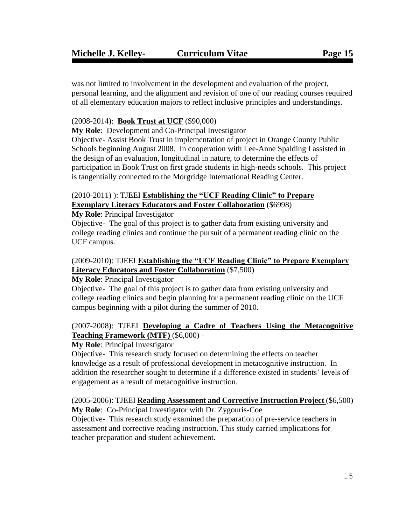was not limited to involvement in the development and evaluation of the project, personal learning, and the alignment and revision of one of our reading courses required of all elementary education majors to reflect inclusive principles and understandings.

## (2008-2014): **Book Trust at UCF** (\$90,000)

**My Role**: Development and Co-Principal Investigator

Objective- Assist Book Trust in implementation of project in Orange County Public Schools beginning August 2008. In cooperation with Lee-Anne Spalding I assisted in the design of an evaluation, longitudinal in nature, to determine the effects of participation in Book Trust on first grade students in high-needs schools. This project is tangentially connected to the Morgridge International Reading Center.

## (2010-2011) ): TJEEI **Establishing the "UCF Reading Clinic" to Prepare Exemplary Literacy Educators and Foster Collaboration** (\$6998)

## **My Role**: Principal Investigator

Objective- The goal of this project is to gather data from existing university and college reading clinics and continue the pursuit of a permanent reading clinic on the UCF campus.

## (2009-2010): TJEEI **Establishing the "UCF Reading Clinic" to Prepare Exemplary Literacy Educators and Foster Collaboration** (\$7,500)

## **My Role**: Principal Investigator

Objective- The goal of this project is to gather data from existing university and college reading clinics and begin planning for a permanent reading clinic on the UCF campus beginning with a pilot during the summer of 2010.

## (2007-2008): TJEEI **Developing a Cadre of Teachers Using the Metacognitive Teaching Framework (MTF)** (\$6,000) –

## **My Role**: Principal Investigator

Objective- This research study focused on determining the effects on teacher knowledge as a result of professional development in metacognitive instruction. In addition the researcher sought to determine if a difference existed in students' levels of engagement as a result of metacognitive instruction.

#### (2005-2006): TJEEI **Reading Assessment and Corrective Instruction Project** (\$6,500) **My Role**: Co-Principal Investigator with Dr. Zygouris-Coe

Objective- This research study examined the preparation of pre-service teachers in assessment and corrective reading instruction. This study carried implications for teacher preparation and student achievement.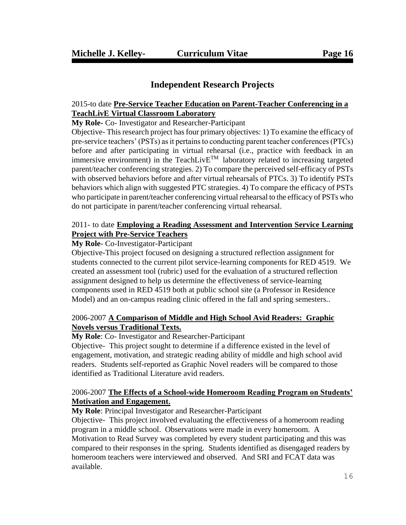# **Independent Research Projects**

### 2015-to date **Pre-Service Teacher Education on Parent-Teacher Conferencing in a TeachLivE Virtual Classroom Laboratory**

**My Role-** Co- Investigator and Researcher-Participant

Objective- This research project has four primary objectives: 1) To examine the efficacy of pre-service teachers' (PSTs) as it pertains to conducting parent teacher conferences (PTCs) before and after participating in virtual rehearsal (i.e., practice with feedback in an immersive environment) in the TeachLiv $E^{TM}$  laboratory related to increasing targeted parent/teacher conferencing strategies. 2) To compare the perceived self-efficacy of PSTs with observed behaviors before and after virtual rehearsals of PTCs. 3) To identify PSTs behaviors which align with suggested PTC strategies. 4) To compare the efficacy of PSTs who participate in parent/teacher conferencing virtual rehearsal to the efficacy of PSTs who do not participate in parent/teacher conferencing virtual rehearsal.

### 2011- to date **Employing a Reading Assessment and Intervention Service Learning Project with Pre-Service Teachers**

#### **My Role**- Co-Investigator-Participant

Objective-This project focused on designing a structured reflection assignment for students connected to the current pilot service-learning components for RED 4519. We created an assessment tool (rubric) used for the evaluation of a structured reflection assignment designed to help us determine the effectiveness of service-learning components used in RED 4519 both at public school site (a Professor in Residence Model) and an on-campus reading clinic offered in the fall and spring semesters..

## 2006-2007 **A Comparison of Middle and High School Avid Readers: Graphic Novels versus Traditional Texts.**

#### **My Role**: Co- Investigator and Researcher-Participant

Objective- This project sought to determine if a difference existed in the level of engagement, motivation, and strategic reading ability of middle and high school avid readers. Students self-reported as Graphic Novel readers will be compared to those identified as Traditional Literature avid readers.

### 2006-2007 **The Effects of a School-wide Homeroom Reading Program on Students' Motivation and Engagement.**

#### **My Role**: Principal Investigator and Researcher-Participant

Objective- This project involved evaluating the effectiveness of a homeroom reading program in a middle school. Observations were made in every homeroom. A Motivation to Read Survey was completed by every student participating and this was compared to their responses in the spring. Students identified as disengaged readers by homeroom teachers were interviewed and observed. And SRI and FCAT data was available.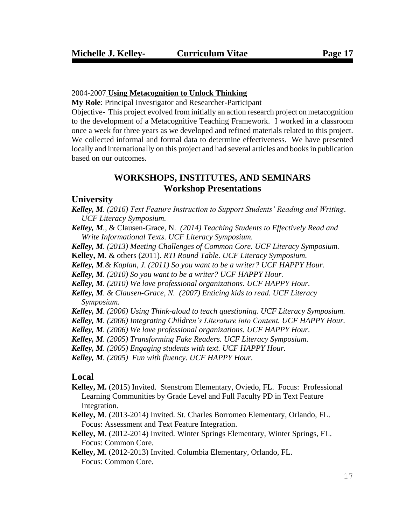#### 2004-2007 **Using Metacognition to Unlock Thinking**

**My Role**: Principal Investigator and Researcher-Participant

Objective- This project evolved from initially an action research project on metacognition to the development of a Metacognitive Teaching Framework. I worked in a classroom once a week for three years as we developed and refined materials related to this project. We collected informal and formal data to determine effectiveness. We have presented locally and internationally on this project and had several articles and books in publication based on our outcomes.

## **WORKSHOPS, INSTITUTES, AND SEMINARS Workshop Presentations**

#### **University**

*Kelley, M. (2016) Text Feature Instruction to Support Students' Reading and Writing*. *UCF Literacy Symposium.*

- *Kelley, M.*, & Clausen-Grace, N. *(2014) Teaching Students to Effectively Read and Write Informational Texts. UCF Literacy Symposium.*
- *Kelley, M. (2013) Meeting Challenges of Common Core. UCF Literacy Symposium.*

**Kelley, M**. & others (2011). *RTI Round Table. UCF Literacy Symposium.*

*Kelley, M.& Kaplan, J. (2011) So you want to be a writer? UCF HAPPY Hour.*

*Kelley, M. (2010) So you want to be a writer? UCF HAPPY Hour.*

*Kelley, M. (2010) We love professional organizations. UCF HAPPY Hour.*

- *Kelley, M. & Clausen-Grace, N. (2007) Enticing kids to read. UCF Literacy Symposium.*
- *Kelley, M. (2006) Using Think-aloud to teach questioning. UCF Literacy Symposium.*
- *Kelley, M. (2006) Integrating Children's Literature into Content. UCF HAPPY Hour.*

*Kelley, M. (2006) We love professional organizations. UCF HAPPY Hour.* 

*Kelley, M. (2005) Transforming Fake Readers. UCF Literacy Symposium.* 

*Kelley, M. (2005) Engaging students with text. UCF HAPPY Hour.* 

*Kelley, M. (2005) Fun with fluency. UCF HAPPY Hour.* 

### **Local**

- **Kelley, M.** (2015) Invited. Stenstrom Elementary, Oviedo, FL. Focus: Professional Learning Communities by Grade Level and Full Faculty PD in Text Feature Integration.
- **Kelley, M**. (2013-2014) Invited. St. Charles Borromeo Elementary, Orlando, FL. Focus: Assessment and Text Feature Integration.
- **Kelley, M**. (2012-2014) Invited. Winter Springs Elementary, Winter Springs, FL. Focus: Common Core.

**Kelley, M**. (2012-2013) Invited. Columbia Elementary, Orlando, FL. Focus: Common Core.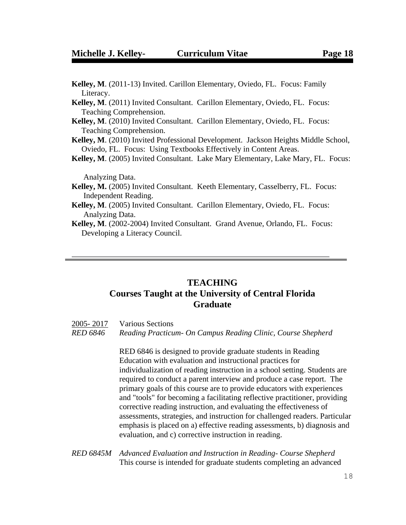| Kelley, M. (2011-13) Invited. Carillon Elementary, Oviedo, FL. Focus: Family           |
|----------------------------------------------------------------------------------------|
| Literacy.                                                                              |
| <b>Kelley, M.</b> (2011) Invited Consultant. Carillon Elementary, Oviedo, FL. Focus:   |
| Teaching Comprehension.                                                                |
| <b>Kelley, M.</b> (2010) Invited Consultant. Carillon Elementary, Oviedo, FL. Focus:   |
| Teaching Comprehension.                                                                |
| Kelley, M. (2010) Invited Professional Development. Jackson Heights Middle School,     |
| Oviedo, FL. Focus: Using Textbooks Effectively in Content Areas.                       |
| Kelley, M. (2005) Invited Consultant. Lake Mary Elementary, Lake Mary, FL. Focus:      |
| Analyzing Data.                                                                        |
| <b>Kelley, M.</b> (2005) Invited Consultant. Keeth Elementary, Casselberry, FL. Focus: |
| Independent Reading.                                                                   |
| <b>Kelley, M.</b> (2005) Invited Consultant. Carillon Elementary, Oviedo, FL. Focus:   |
| Analyzing Data.                                                                        |
|                                                                                        |

**Kelley, M**. (2002-2004) Invited Consultant. Grand Avenue, Orlando, FL. Focus: Developing a Literacy Council.

# **TEACHING Courses Taught at the University of Central Florida Graduate**

| 2005-2017 | <b>Various Sections</b>                                      |
|-----------|--------------------------------------------------------------|
| RED 6846  | Reading Practicum- On Campus Reading Clinic, Course Shepherd |

RED 6846 is designed to provide graduate students in Reading Education with evaluation and instructional practices for individualization of reading instruction in a school setting. Students are required to conduct a parent interview and produce a case report. The primary goals of this course are to provide educators with experiences and "tools" for becoming a facilitating reflective practitioner, providing corrective reading instruction, and evaluating the effectiveness of assessments, strategies, and instruction for challenged readers. Particular emphasis is placed on a) effective reading assessments, b) diagnosis and evaluation, and c) corrective instruction in reading.

*RED 6845M Advanced Evaluation and Instruction in Reading- Course Shepherd* This course is intended for graduate students completing an advanced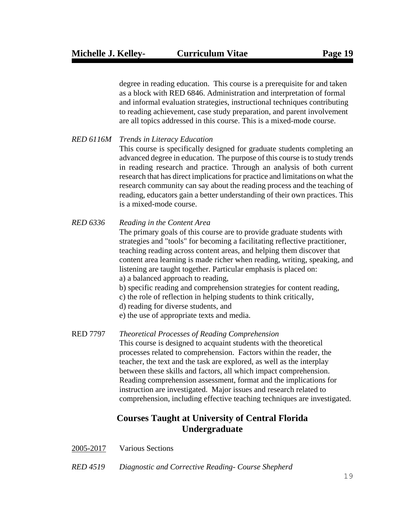degree in reading education. This course is a prerequisite for and taken as a block with RED 6846. Administration and interpretation of formal and informal evaluation strategies, instructional techniques contributing to reading achievement, case study preparation, and parent involvement are all topics addressed in this course. This is a mixed-mode course.

#### *RED 6116M Trends in Literacy Education*

This course is specifically designed for graduate students completing an advanced degree in education. The purpose of this course is to study trends in reading research and practice. Through an analysis of both current research that has direct implications for practice and limitations on what the research community can say about the reading process and the teaching of reading, educators gain a better understanding of their own practices. This is a mixed-mode course.

#### *RED 6336 Reading in the Content Area*

The primary goals of this course are to provide graduate students with strategies and "tools" for becoming a facilitating reflective practitioner, teaching reading across content areas, and helping them discover that content area learning is made richer when reading, writing, speaking, and listening are taught together. Particular emphasis is placed on: a) a balanced approach to reading,

- b) specific reading and comprehension strategies for content reading,
- c) the role of reflection in helping students to think critically,
- d) reading for diverse students, and
- e) the use of appropriate texts and media.

#### RED 7797 *Theoretical Processes of Reading Comprehension*

 This course is designed to acquaint students with the theoretical processes related to comprehension. Factors within the reader, the teacher, the text and the task are explored, as well as the interplay between these skills and factors, all which impact comprehension. Reading comprehension assessment, format and the implications for instruction are investigated. Major issues and research related to comprehension, including effective teaching techniques are investigated.

# **Courses Taught at University of Central Florida Undergraduate**

- 2005-2017 Various Sections
- *RED 4519 Diagnostic and Corrective Reading- Course Shepherd*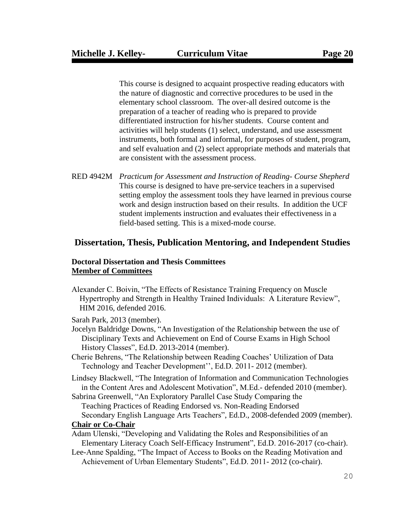This course is designed to acquaint prospective reading educators with the nature of diagnostic and corrective procedures to be used in the elementary school classroom. The over-all desired outcome is the preparation of a teacher of reading who is prepared to provide differentiated instruction for his/her students. Course content and activities will help students (1) select, understand, and use assessment instruments, both formal and informal, for purposes of student, program, and self evaluation and (2) select appropriate methods and materials that are consistent with the assessment process.

RED 4942M *Practicum for Assessment and Instruction of Reading- Course Shepherd* This course is designed to have pre-service teachers in a supervised setting employ the assessment tools they have learned in previous course work and design instruction based on their results. In addition the UCF student implements instruction and evaluates their effectiveness in a field-based setting. This is a mixed-mode course.

### **Dissertation, Thesis, Publication Mentoring, and Independent Studies**

#### **Doctoral Dissertation and Thesis Committees Member of Committees**

Alexander C. Boivin, "The Effects of Resistance Training Frequency on Muscle Hypertrophy and Strength in Healthy Trained Individuals: A Literature Review", HIM 2016, defended 2016.

Sarah Park, 2013 (member).

- Jocelyn Baldridge Downs, "An Investigation of the Relationship between the use of Disciplinary Texts and Achievement on End of Course Exams in High School History Classes", Ed.D. 2013-2014 (member).
- Cherie Behrens, "The Relationship between Reading Coaches' Utilization of Data Technology and Teacher Development'', Ed.D. 2011- 2012 (member).
- Lindsey Blackwell, "The Integration of Information and Communication Technologies in the Content Ares and Adolescent Motivation", M.Ed.- defended 2010 (member).
- Sabrina Greenwell, "An Exploratory Parallel Case Study Comparing the Teaching Practices of Reading Endorsed vs. Non-Reading Endorsed Secondary English Language Arts Teachers", Ed.D., 2008-defended 2009 (member).

#### **Chair or Co-Chair**

- Adam Ulenski, "Developing and Validating the Roles and Responsibilities of an Elementary Literacy Coach Self-Efficacy Instrument", Ed.D. 2016-2017 (co-chair).
- Lee-Anne Spalding, "The Impact of Access to Books on the Reading Motivation and Achievement of Urban Elementary Students", Ed.D. 2011- 2012 (co-chair).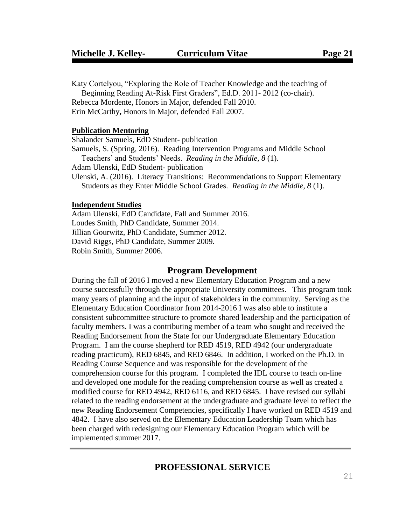Katy Cortelyou, "Exploring the Role of Teacher Knowledge and the teaching of Beginning Reading At-Risk First Graders", Ed.D. 2011- 2012 (co-chair). Rebecca Mordente, Honors in Major, defended Fall 2010. Erin McCarthy**,** Honors in Major, defended Fall 2007.

#### **Publication Mentoring**

Shalander Samuels, EdD Student- publication Samuels, S. (Spring, 2016). Reading Intervention Programs and Middle School Teachers' and Students' Needs. *Reading in the Middle, 8* (1). Adam Ulenski, EdD Student- publication Ulenski, A. (2016). Literacy Transitions: Recommendations to Support Elementary Students as they Enter Middle School Grades. *Reading in the Middle, 8* (1).

### **Independent Studies**

Adam Ulenski, EdD Candidate, Fall and Summer 2016. Loudes Smith, PhD Candidate, Summer 2014. Jillian Gourwitz, PhD Candidate, Summer 2012. David Riggs, PhD Candidate, Summer 2009. Robin Smith, Summer 2006.

## **Program Development**

During the fall of 2016 I moved a new Elementary Education Program and a new course successfully through the appropriate University committees. This program took many years of planning and the input of stakeholders in the community. Serving as the Elementary Education Coordinator from 2014-2016 I was also able to institute a consistent subcommittee structure to promote shared leadership and the participation of faculty members. I was a contributing member of a team who sought and received the Reading Endorsement from the State for our Undergraduate Elementary Education Program. I am the course shepherd for RED 4519, RED 4942 (our undergraduate reading practicum), RED 6845, and RED 6846. In addition, I worked on the Ph.D. in Reading Course Sequence and was responsible for the development of the comprehension course for this program. I completed the IDL course to teach on-line and developed one module for the reading comprehension course as well as created a modified course for RED 4942, RED 6116, and RED 6845. I have revised our syllabi related to the reading endorsement at the undergraduate and graduate level to reflect the new Reading Endorsement Competencies, specifically I have worked on RED 4519 and 4842. I have also served on the Elementary Education Leadership Team which has been charged with redesigning our Elementary Education Program which will be implemented summer 2017.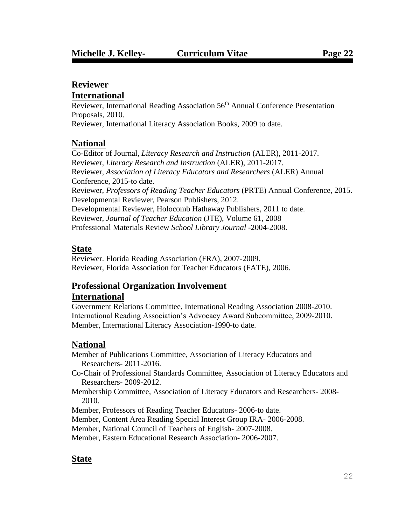# **Reviewer**

## **International**

Reviewer, International Reading Association 56<sup>th</sup> Annual Conference Presentation Proposals, 2010.

Reviewer, International Literacy Association Books, 2009 to date.

# **National**

Co-Editor of Journal, *Literacy Research and Instruction* (ALER), 2011-2017. Reviewer, *Literacy Research and Instruction* (ALER), 2011-2017. Reviewer, *Association of Literacy Educators and Researchers* (ALER) Annual Conference, 2015-to date. Reviewer, *Professors of Reading Teacher Educators* (PRTE) Annual Conference, 2015. Developmental Reviewer, Pearson Publishers, 2012. Developmental Reviewer, Holocomb Hathaway Publishers, 2011 to date. Reviewer, *Journal of Teacher Education* (JTE), Volume 61, 2008 Professional Materials Review *School Library Journal* -2004-2008.

# **State**

Reviewer. Florida Reading Association (FRA), 2007-2009. Reviewer, Florida Association for Teacher Educators (FATE), 2006.

# **Professional Organization Involvement International**

Government Relations Committee, International Reading Association 2008-2010. International Reading Association's Advocacy Award Subcommittee, 2009-2010. Member, International Literacy Association-1990-to date.

# **National**

Member of Publications Committee, Association of Literacy Educators and Researchers- 2011-2016.

Co-Chair of Professional Standards Committee, Association of Literacy Educators and Researchers- 2009-2012.

Membership Committee, Association of Literacy Educators and Researchers- 2008- 2010.

Member, Professors of Reading Teacher Educators- 2006-to date.

Member, Content Area Reading Special Interest Group IRA- 2006-2008.

Member, National Council of Teachers of English- 2007-2008.

Member, Eastern Educational Research Association- 2006-2007.

# **State**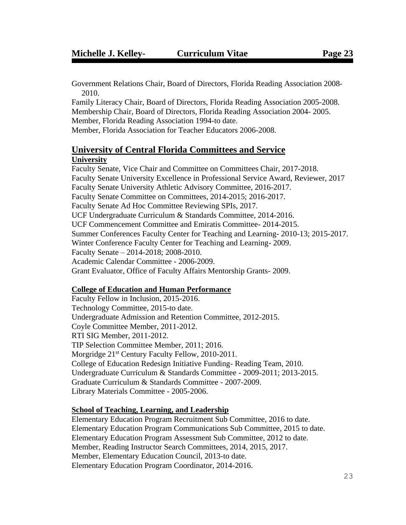Government Relations Chair, Board of Directors, Florida Reading Association 2008- 2010.

Family Literacy Chair, Board of Directors, Florida Reading Association 2005-2008. Membership Chair, Board of Directors, Florida Reading Association 2004- 2005. Member, Florida Reading Association 1994-to date. Member, Florida Association for Teacher Educators 2006-2008.

### **University of Central Florida Committees and Service University**

Faculty Senate, Vice Chair and Committee on Committees Chair, 2017-2018. Faculty Senate University Excellence in Professional Service Award, Reviewer, 2017 Faculty Senate University Athletic Advisory Committee, 2016-2017. Faculty Senate Committee on Committees, 2014-2015; 2016-2017. Faculty Senate Ad Hoc Committee Reviewing SPIs, 2017. UCF Undergraduate Curriculum & Standards Committee, 2014-2016. UCF Commencement Committee and Emiratis Committee- 2014-2015. Summer Conferences Faculty Center for Teaching and Learning- 2010-13; 2015-2017. Winter Conference Faculty Center for Teaching and Learning- 2009. Faculty Senate – 2014-2018; 2008-2010. Academic Calendar Committee - 2006-2009. Grant Evaluator, Office of Faculty Affairs Mentorship Grants- 2009.

## **College of Education and Human Performance**

Faculty Fellow in Inclusion, 2015-2016. Technology Committee, 2015-to date. Undergraduate Admission and Retention Committee, 2012-2015. Coyle Committee Member, 2011-2012. RTI SIG Member, 2011-2012. TIP Selection Committee Member, 2011; 2016. Morgridge 21<sup>st</sup> Century Faculty Fellow, 2010-2011. College of Education Redesign Initiative Funding- Reading Team, 2010. Undergraduate Curriculum & Standards Committee - 2009-2011; 2013-2015. Graduate Curriculum & Standards Committee - 2007-2009. Library Materials Committee - 2005-2006.

#### **School of Teaching, Learning, and Leadership**

Elementary Education Program Recruitment Sub Committee, 2016 to date. Elementary Education Program Communications Sub Committee, 2015 to date. Elementary Education Program Assessment Sub Committee, 2012 to date. Member, Reading Instructor Search Committees, 2014, 2015, 2017. Member, Elementary Education Council, 2013-to date. Elementary Education Program Coordinator, 2014-2016.